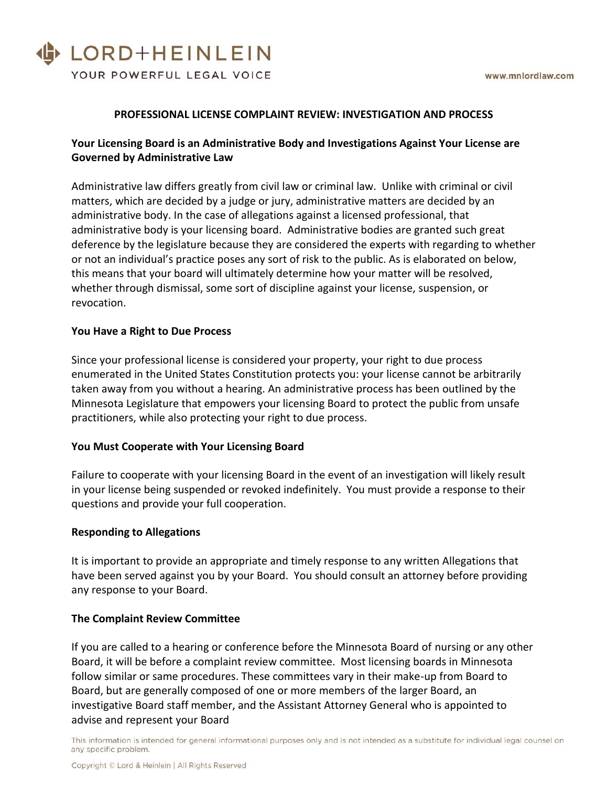# LORD+HEINLEIN YOUR POWERFUL LEGAL VOICE

### **PROFESSIONAL LICENSE COMPLAINT REVIEW: INVESTIGATION AND PROCESS**

## **Your Licensing Board is an Administrative Body and Investigations Against Your License are Governed by Administrative Law**

Administrative law differs greatly from civil law or criminal law. Unlike with criminal or civil matters, which are decided by a judge or jury, administrative matters are decided by an administrative body. In the case of allegations against a licensed professional, that administrative body is your licensing board. Administrative bodies are granted such great deference by the legislature because they are considered the experts with regarding to whether or not an individual's practice poses any sort of risk to the public. As is elaborated on below, this means that your board will ultimately determine how your matter will be resolved, whether through dismissal, some sort of discipline against your license, suspension, or revocation.

#### **You Have a Right to Due Process**

Since your professional license is considered your property, your right to due process enumerated in the United States Constitution protects you: your license cannot be arbitrarily taken away from you without a hearing. An administrative process has been outlined by the Minnesota Legislature that empowers your licensing Board to protect the public from unsafe practitioners, while also protecting your right to due process.

## **You Must Cooperate with Your Licensing Board**

Failure to cooperate with your licensing Board in the event of an investigation will likely result in your license being suspended or revoked indefinitely. You must provide a response to their questions and provide your full cooperation.

## **Responding to Allegations**

It is important to provide an appropriate and timely response to any written Allegations that have been served against you by your Board. You should consult an attorney before providing any response to your Board.

#### **The Complaint Review Committee**

If you are called to a hearing or conference before the Minnesota Board of nursing or any other Board, it will be before a complaint review committee. Most licensing boards in Minnesota follow similar or same procedures. These committees vary in their make-up from Board to Board, but are generally composed of one or more members of the larger Board, an investigative Board staff member, and the Assistant Attorney General who is appointed to advise and represent your Board

This information is intended for general informational purposes only and is not intended as a substitute for individual legal counsel on any specific problem.